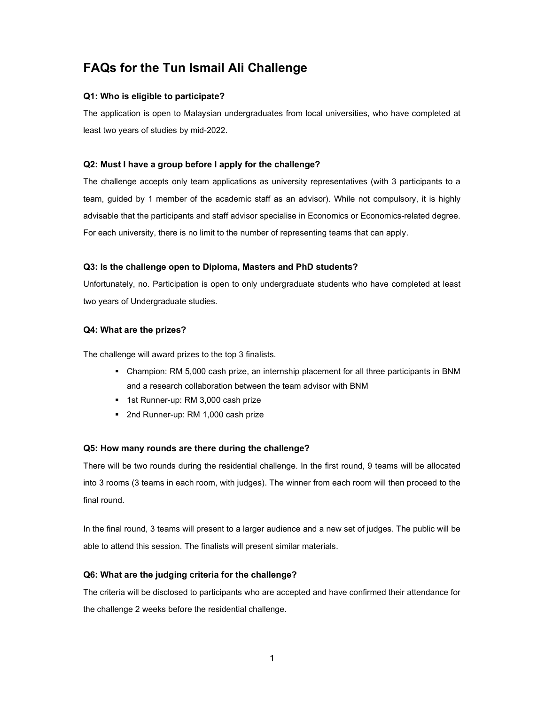# FAQs for the Tun Ismail Ali Challenge

#### Q1: Who is eligible to participate?

The application is open to Malaysian undergraduates from local universities, who have completed at least two years of studies by mid-2022.

#### Q2: Must I have a group before I apply for the challenge?

The challenge accepts only team applications as university representatives (with 3 participants to a team, guided by 1 member of the academic staff as an advisor). While not compulsory, it is highly advisable that the participants and staff advisor specialise in Economics or Economics-related degree. For each university, there is no limit to the number of representing teams that can apply.

#### Q3: Is the challenge open to Diploma, Masters and PhD students?

Unfortunately, no. Participation is open to only undergraduate students who have completed at least two years of Undergraduate studies.

## Q4: What are the prizes?

The challenge will award prizes to the top 3 finalists.

- Champion: RM 5,000 cash prize, an internship placement for all three participants in BNM and a research collaboration between the team advisor with BNM
- **1st Runner-up: RM 3,000 cash prize**
- 2nd Runner-up: RM 1,000 cash prize

#### Q5: How many rounds are there during the challenge?

There will be two rounds during the residential challenge. In the first round, 9 teams will be allocated into 3 rooms (3 teams in each room, with judges). The winner from each room will then proceed to the final round.

In the final round, 3 teams will present to a larger audience and a new set of judges. The public will be able to attend this session. The finalists will present similar materials.

#### Q6: What are the judging criteria for the challenge?

The criteria will be disclosed to participants who are accepted and have confirmed their attendance for the challenge 2 weeks before the residential challenge.